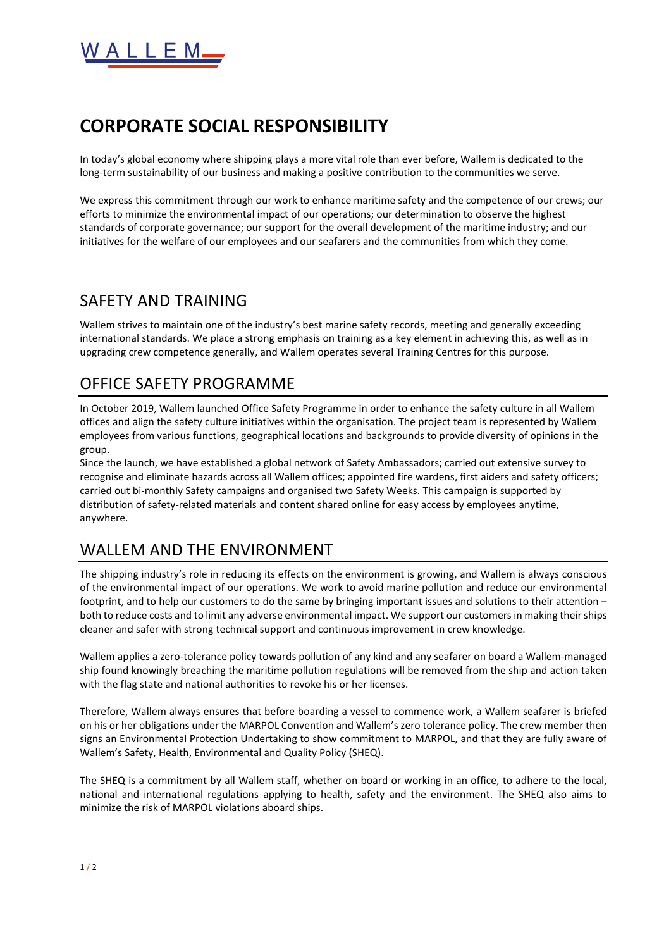

## **CORPORATE SOCIAL RESPONSIBILITY**

In today's global economy where shipping plays a more vital role than ever before, Wallem is dedicated to the long-term sustainability of our business and making a positive contribution to the communities we serve.

We express this commitment through our work to enhance maritime safety and the competence of our crews; our efforts to minimize the environmental impact of our operations; our determination to observe the highest standards of corporate governance; our support for the overall development of the maritime industry; and our initiatives for the welfare of our employees and our seafarers and the communities from which they come.

#### SAFETY AND TRAINING

Wallem strives to maintain one of the industry's best marine safety records, meeting and generally exceeding international standards. We place a strong emphasis on training as a key element in achieving this, as well as in upgrading crew competence generally, and Wallem operates several Training Centres for this purpose.

### OFFICE SAFETY PROGRAMME

In October 2019, Wallem launched Office Safety Programme in order to enhance the safety culture in all Wallem offices and align the safety culture initiatives within the organisation. The project team is represented by Wallem employees from various functions, geographical locations and backgrounds to provide diversity of opinions in the group.

Since the launch, we have established a global network of Safety Ambassadors; carried out extensive survey to recognise and eliminate hazards across all Wallem offices; appointed fire wardens, first aiders and safety officers; carried out bi-monthly Safety campaigns and organised two Safety Weeks. This campaign is supported by distribution of safety-related materials and content shared online for easy access by employees anytime, anywhere.

### WALLEM AND THE ENVIRONMENT

The shipping industry's role in reducing its effects on the environment is growing, and Wallem is always conscious of the environmental impact of our operations. We work to avoid marine pollution and reduce our environmental footprint, and to help our customers to do the same by bringing important issues and solutions to their attention – both to reduce costs and to limit any adverse environmental impact. We support our customers in making their ships cleaner and safer with strong technical support and continuous improvement in crew knowledge.

Wallem applies a zero-tolerance policy towards pollution of any kind and any seafarer on board a Wallem-managed ship found knowingly breaching the maritime pollution regulations will be removed from the ship and action taken with the flag state and national authorities to revoke his or her licenses.

Therefore, Wallem always ensures that before boarding a vessel to commence work, a Wallem seafarer is briefed on his or her obligations under the MARPOL Convention and Wallem's zero tolerance policy. The crew member then signs an Environmental Protection Undertaking to show commitment to MARPOL, and that they are fully aware of Wallem's Safety, Health, Environmental and Quality Policy (SHEQ).

The SHEQ is a commitment by all Wallem staff, whether on board or working in an office, to adhere to the local, national and international regulations applying to health, safety and the environment. The SHEQ also aims to minimize the risk of MARPOL violations aboard ships.